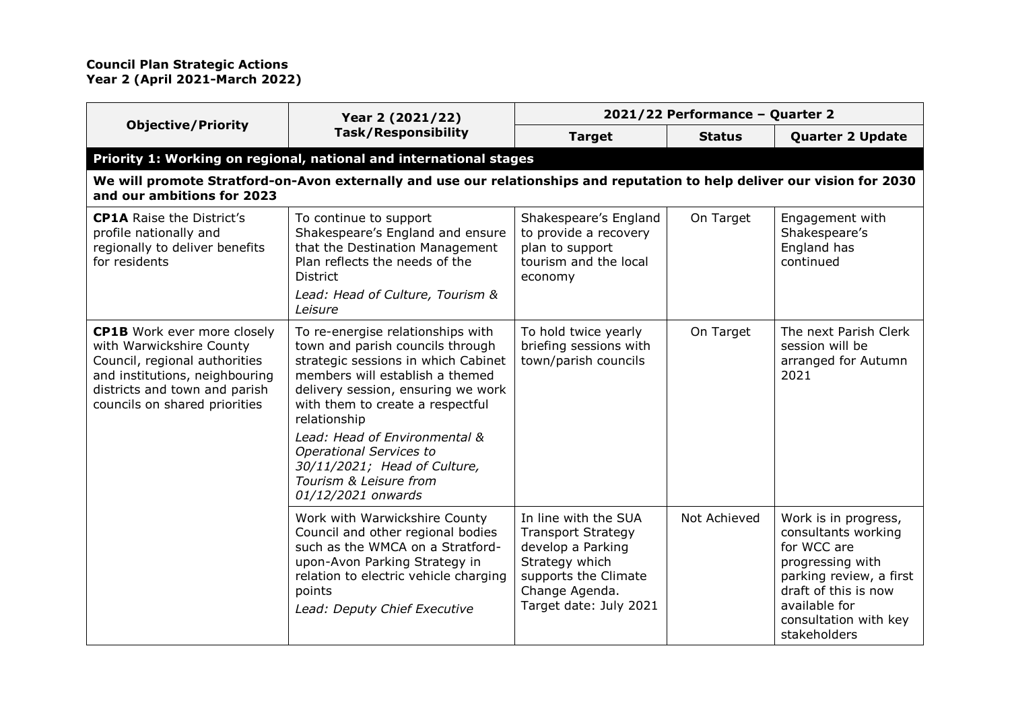|                                                                                                                                                                                                     | Year 2 (2021/22)                                                                                                                                                                                                                                                                                                                                                                             | 2021/22 Performance - Quarter 2                                                                                                                              |               |                                                                                                                                                                                             |
|-----------------------------------------------------------------------------------------------------------------------------------------------------------------------------------------------------|----------------------------------------------------------------------------------------------------------------------------------------------------------------------------------------------------------------------------------------------------------------------------------------------------------------------------------------------------------------------------------------------|--------------------------------------------------------------------------------------------------------------------------------------------------------------|---------------|---------------------------------------------------------------------------------------------------------------------------------------------------------------------------------------------|
| <b>Objective/Priority</b>                                                                                                                                                                           | <b>Task/Responsibility</b>                                                                                                                                                                                                                                                                                                                                                                   | <b>Target</b>                                                                                                                                                | <b>Status</b> | <b>Quarter 2 Update</b>                                                                                                                                                                     |
|                                                                                                                                                                                                     | Priority 1: Working on regional, national and international stages                                                                                                                                                                                                                                                                                                                           |                                                                                                                                                              |               |                                                                                                                                                                                             |
| and our ambitions for 2023                                                                                                                                                                          | We will promote Stratford-on-Avon externally and use our relationships and reputation to help deliver our vision for 2030                                                                                                                                                                                                                                                                    |                                                                                                                                                              |               |                                                                                                                                                                                             |
| <b>CP1A</b> Raise the District's<br>profile nationally and<br>regionally to deliver benefits<br>for residents                                                                                       | To continue to support<br>Shakespeare's England and ensure<br>that the Destination Management<br>Plan reflects the needs of the<br><b>District</b><br>Lead: Head of Culture, Tourism &                                                                                                                                                                                                       | Shakespeare's England<br>to provide a recovery<br>plan to support<br>tourism and the local<br>economy                                                        | On Target     | Engagement with<br>Shakespeare's<br>England has<br>continued                                                                                                                                |
|                                                                                                                                                                                                     | Leisure                                                                                                                                                                                                                                                                                                                                                                                      |                                                                                                                                                              |               |                                                                                                                                                                                             |
| <b>CP1B</b> Work ever more closely<br>with Warwickshire County<br>Council, regional authorities<br>and institutions, neighbouring<br>districts and town and parish<br>councils on shared priorities | To re-energise relationships with<br>town and parish councils through<br>strategic sessions in which Cabinet<br>members will establish a themed<br>delivery session, ensuring we work<br>with them to create a respectful<br>relationship<br>Lead: Head of Environmental &<br><b>Operational Services to</b><br>30/11/2021; Head of Culture,<br>Tourism & Leisure from<br>01/12/2021 onwards | To hold twice yearly<br>briefing sessions with<br>town/parish councils                                                                                       | On Target     | The next Parish Clerk<br>session will be<br>arranged for Autumn<br>2021                                                                                                                     |
|                                                                                                                                                                                                     | Work with Warwickshire County<br>Council and other regional bodies<br>such as the WMCA on a Stratford-<br>upon-Avon Parking Strategy in<br>relation to electric vehicle charging<br>points<br>Lead: Deputy Chief Executive                                                                                                                                                                   | In line with the SUA<br><b>Transport Strategy</b><br>develop a Parking<br>Strategy which<br>supports the Climate<br>Change Agenda.<br>Target date: July 2021 | Not Achieved  | Work is in progress,<br>consultants working<br>for WCC are<br>progressing with<br>parking review, a first<br>draft of this is now<br>available for<br>consultation with key<br>stakeholders |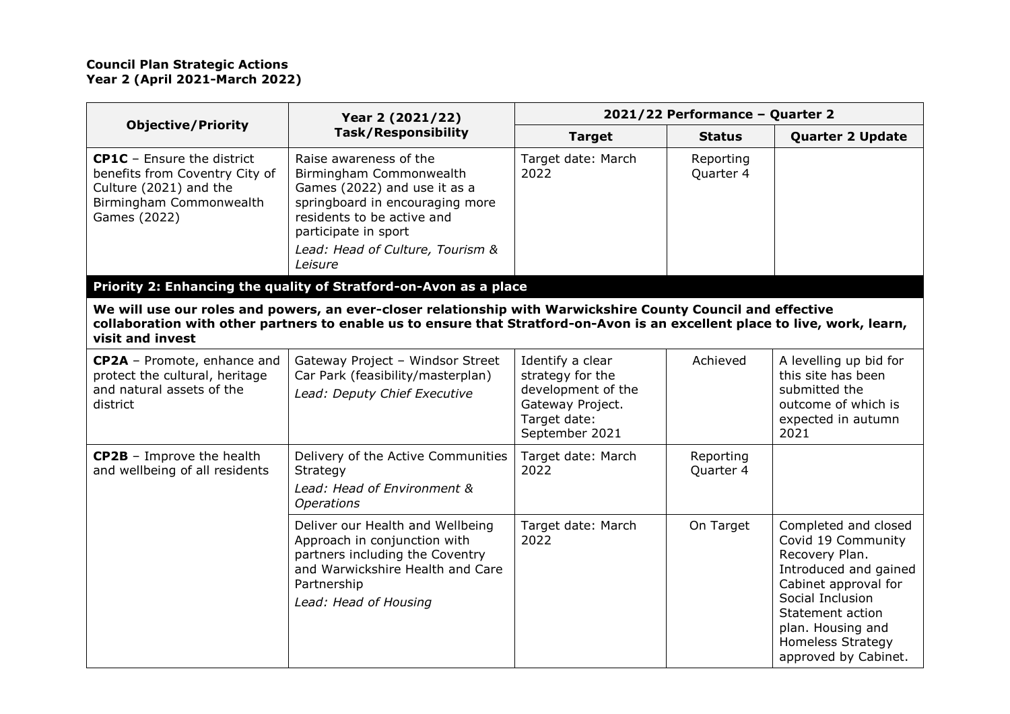|                                                                                                                                          | Year 2 (2021/22)                                                                                                                                                                                                                            |                                                                                                                  | 2021/22 Performance - Quarter 2 |                                                                                                                                                                                                                                |  |
|------------------------------------------------------------------------------------------------------------------------------------------|---------------------------------------------------------------------------------------------------------------------------------------------------------------------------------------------------------------------------------------------|------------------------------------------------------------------------------------------------------------------|---------------------------------|--------------------------------------------------------------------------------------------------------------------------------------------------------------------------------------------------------------------------------|--|
| <b>Objective/Priority</b>                                                                                                                | <b>Task/Responsibility</b>                                                                                                                                                                                                                  | <b>Target</b>                                                                                                    | <b>Status</b>                   | <b>Quarter 2 Update</b>                                                                                                                                                                                                        |  |
| <b>CP1C</b> - Ensure the district<br>benefits from Coventry City of<br>Culture (2021) and the<br>Birmingham Commonwealth<br>Games (2022) | Raise awareness of the<br>Birmingham Commonwealth<br>Games (2022) and use it as a<br>springboard in encouraging more<br>residents to be active and<br>participate in sport<br>Lead: Head of Culture, Tourism &<br>Leisure                   | Target date: March<br>2022                                                                                       | Reporting<br>Quarter 4          |                                                                                                                                                                                                                                |  |
|                                                                                                                                          | Priority 2: Enhancing the quality of Stratford-on-Avon as a place                                                                                                                                                                           |                                                                                                                  |                                 |                                                                                                                                                                                                                                |  |
| visit and invest                                                                                                                         | We will use our roles and powers, an ever-closer relationship with Warwickshire County Council and effective<br>collaboration with other partners to enable us to ensure that Stratford-on-Avon is an excellent place to live, work, learn, |                                                                                                                  |                                 |                                                                                                                                                                                                                                |  |
| CP2A - Promote, enhance and<br>protect the cultural, heritage<br>and natural assets of the<br>district                                   | Gateway Project - Windsor Street<br>Car Park (feasibility/masterplan)<br>Lead: Deputy Chief Executive                                                                                                                                       | Identify a clear<br>strategy for the<br>development of the<br>Gateway Project.<br>Target date:<br>September 2021 | Achieved                        | A levelling up bid for<br>this site has been<br>submitted the<br>outcome of which is<br>expected in autumn<br>2021                                                                                                             |  |
| <b>CP2B</b> - Improve the health<br>and wellbeing of all residents                                                                       | Delivery of the Active Communities<br>Strategy<br>Lead: Head of Environment &<br><b>Operations</b>                                                                                                                                          | Target date: March<br>2022                                                                                       | Reporting<br>Quarter 4          |                                                                                                                                                                                                                                |  |
|                                                                                                                                          | Deliver our Health and Wellbeing<br>Approach in conjunction with<br>partners including the Coventry<br>and Warwickshire Health and Care<br>Partnership<br>Lead: Head of Housing                                                             | Target date: March<br>2022                                                                                       | On Target                       | Completed and closed<br>Covid 19 Community<br>Recovery Plan.<br>Introduced and gained<br>Cabinet approval for<br>Social Inclusion<br>Statement action<br>plan. Housing and<br><b>Homeless Strategy</b><br>approved by Cabinet. |  |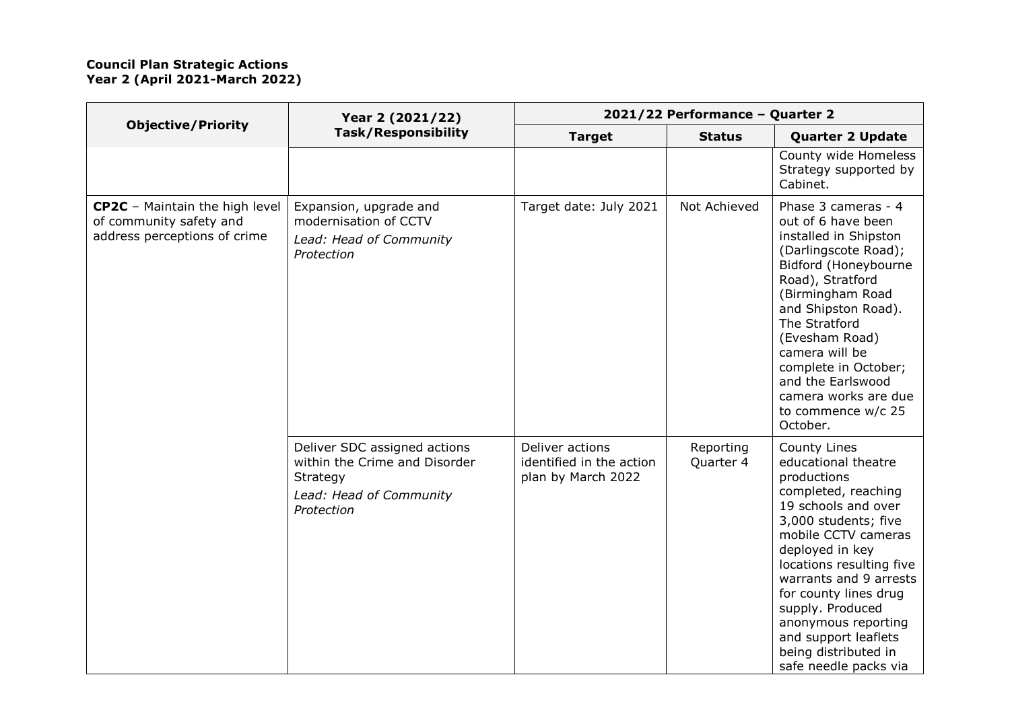|                                                                                                  | Year 2 (2021/22)<br><b>Task/Responsibility</b>                                                                     | 2021/22 Performance - Quarter 2                                   |                        |                                                                                                                                                                                                                                                                                                                                                                       |
|--------------------------------------------------------------------------------------------------|--------------------------------------------------------------------------------------------------------------------|-------------------------------------------------------------------|------------------------|-----------------------------------------------------------------------------------------------------------------------------------------------------------------------------------------------------------------------------------------------------------------------------------------------------------------------------------------------------------------------|
| <b>Objective/Priority</b>                                                                        |                                                                                                                    | <b>Target</b>                                                     | <b>Status</b>          | <b>Quarter 2 Update</b>                                                                                                                                                                                                                                                                                                                                               |
|                                                                                                  |                                                                                                                    |                                                                   |                        | County wide Homeless<br>Strategy supported by<br>Cabinet.                                                                                                                                                                                                                                                                                                             |
| <b>CP2C</b> - Maintain the high level<br>of community safety and<br>address perceptions of crime | Expansion, upgrade and<br>modernisation of CCTV<br>Lead: Head of Community<br>Protection                           | Target date: July 2021                                            | Not Achieved           | Phase 3 cameras - 4<br>out of 6 have been<br>installed in Shipston<br>(Darlingscote Road);<br>Bidford (Honeybourne<br>Road), Stratford<br>(Birmingham Road<br>and Shipston Road).<br>The Stratford<br>(Evesham Road)<br>camera will be<br>complete in October;<br>and the Earlswood<br>camera works are due<br>to commence w/c 25<br>October.                         |
|                                                                                                  | Deliver SDC assigned actions<br>within the Crime and Disorder<br>Strategy<br>Lead: Head of Community<br>Protection | Deliver actions<br>identified in the action<br>plan by March 2022 | Reporting<br>Quarter 4 | County Lines<br>educational theatre<br>productions<br>completed, reaching<br>19 schools and over<br>3,000 students; five<br>mobile CCTV cameras<br>deployed in key<br>locations resulting five<br>warrants and 9 arrests<br>for county lines drug<br>supply. Produced<br>anonymous reporting<br>and support leaflets<br>being distributed in<br>safe needle packs via |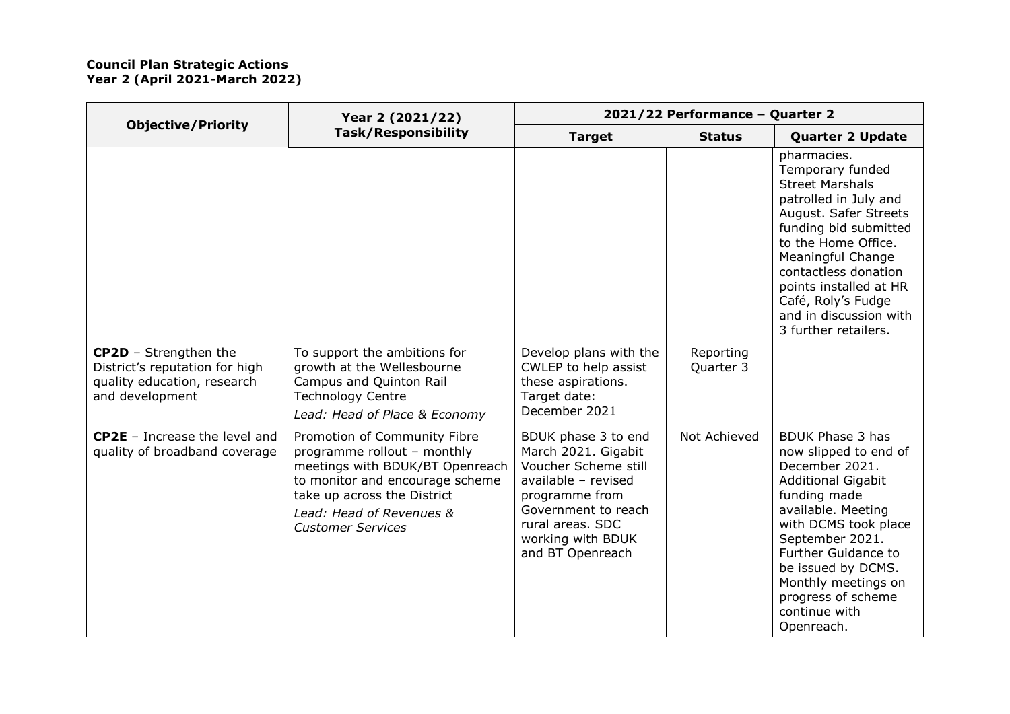| <b>Objective/Priority</b>                                                                                        | Year 2 (2021/22)<br><b>Task/Responsibility</b>                                                                                                                                                                           | 2021/22 Performance - Quarter 2                                                                                                                                                                 |                        |                                                                                                                                                                                                                                                                                                                  |
|------------------------------------------------------------------------------------------------------------------|--------------------------------------------------------------------------------------------------------------------------------------------------------------------------------------------------------------------------|-------------------------------------------------------------------------------------------------------------------------------------------------------------------------------------------------|------------------------|------------------------------------------------------------------------------------------------------------------------------------------------------------------------------------------------------------------------------------------------------------------------------------------------------------------|
|                                                                                                                  |                                                                                                                                                                                                                          | <b>Target</b>                                                                                                                                                                                   | <b>Status</b>          | <b>Quarter 2 Update</b>                                                                                                                                                                                                                                                                                          |
|                                                                                                                  |                                                                                                                                                                                                                          |                                                                                                                                                                                                 |                        | pharmacies.<br>Temporary funded<br><b>Street Marshals</b><br>patrolled in July and<br>August. Safer Streets<br>funding bid submitted<br>to the Home Office.<br>Meaningful Change<br>contactless donation<br>points installed at HR<br>Café, Roly's Fudge<br>and in discussion with<br>3 further retailers.       |
| <b>CP2D</b> - Strengthen the<br>District's reputation for high<br>quality education, research<br>and development | To support the ambitions for<br>growth at the Wellesbourne<br>Campus and Quinton Rail<br><b>Technology Centre</b><br>Lead: Head of Place & Economy                                                                       | Develop plans with the<br>CWLEP to help assist<br>these aspirations.<br>Target date:<br>December 2021                                                                                           | Reporting<br>Quarter 3 |                                                                                                                                                                                                                                                                                                                  |
| <b>CP2E</b> - Increase the level and<br>quality of broadband coverage                                            | Promotion of Community Fibre<br>programme rollout - monthly<br>meetings with BDUK/BT Openreach<br>to monitor and encourage scheme<br>take up across the District<br>Lead: Head of Revenues &<br><b>Customer Services</b> | BDUK phase 3 to end<br>March 2021. Gigabit<br>Voucher Scheme still<br>available - revised<br>programme from<br>Government to reach<br>rural areas. SDC<br>working with BDUK<br>and BT Openreach | Not Achieved           | <b>BDUK Phase 3 has</b><br>now slipped to end of<br>December 2021.<br><b>Additional Gigabit</b><br>funding made<br>available. Meeting<br>with DCMS took place<br>September 2021.<br><b>Further Guidance to</b><br>be issued by DCMS.<br>Monthly meetings on<br>progress of scheme<br>continue with<br>Openreach. |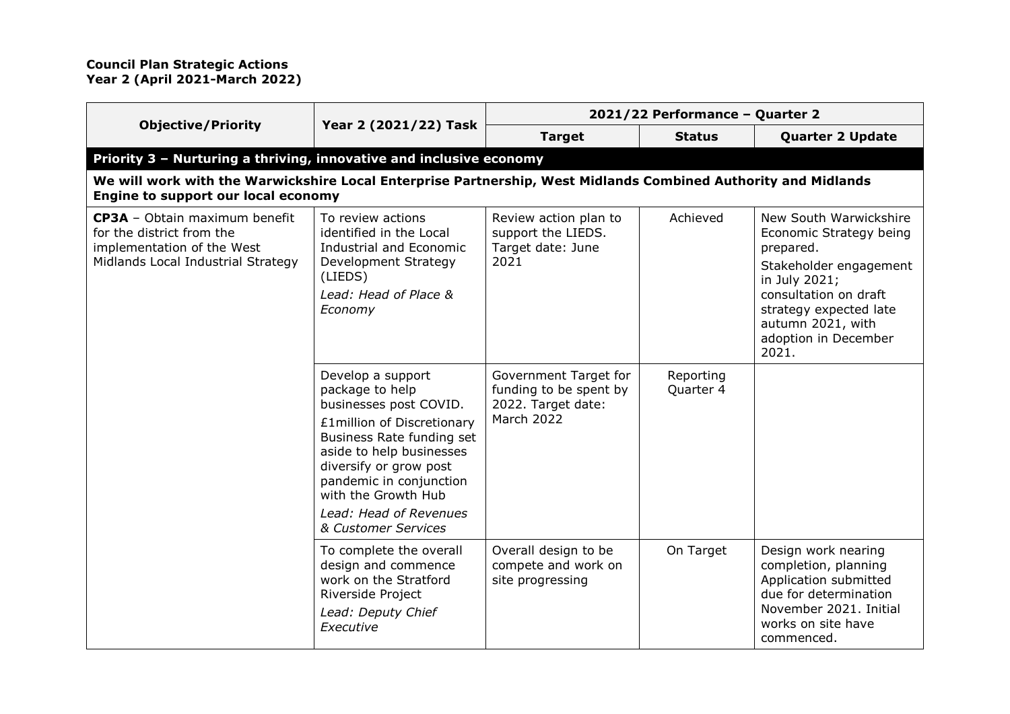|                                                                                                                                                       |                                                                                                                                                                                                                                                                                    | 2021/22 Performance - Quarter 2                                                            |                        |                                                                                                                                                                                                                    |
|-------------------------------------------------------------------------------------------------------------------------------------------------------|------------------------------------------------------------------------------------------------------------------------------------------------------------------------------------------------------------------------------------------------------------------------------------|--------------------------------------------------------------------------------------------|------------------------|--------------------------------------------------------------------------------------------------------------------------------------------------------------------------------------------------------------------|
| <b>Objective/Priority</b>                                                                                                                             | Year 2 (2021/22) Task                                                                                                                                                                                                                                                              | <b>Target</b>                                                                              | <b>Status</b>          | <b>Quarter 2 Update</b>                                                                                                                                                                                            |
| Priority 3 - Nurturing a thriving, innovative and inclusive economy                                                                                   |                                                                                                                                                                                                                                                                                    |                                                                                            |                        |                                                                                                                                                                                                                    |
| We will work with the Warwickshire Local Enterprise Partnership, West Midlands Combined Authority and Midlands<br>Engine to support our local economy |                                                                                                                                                                                                                                                                                    |                                                                                            |                        |                                                                                                                                                                                                                    |
| CP3A - Obtain maximum benefit<br>for the district from the<br>implementation of the West<br>Midlands Local Industrial Strategy                        | To review actions<br>identified in the Local<br><b>Industrial and Economic</b><br>Development Strategy<br>(LIEDS)<br>Lead: Head of Place &<br>Economy                                                                                                                              | Review action plan to<br>support the LIEDS.<br>Target date: June<br>2021                   | Achieved               | New South Warwickshire<br>Economic Strategy being<br>prepared.<br>Stakeholder engagement<br>in July 2021;<br>consultation on draft<br>strategy expected late<br>autumn 2021, with<br>adoption in December<br>2021. |
|                                                                                                                                                       | Develop a support<br>package to help<br>businesses post COVID.<br>£1million of Discretionary<br>Business Rate funding set<br>aside to help businesses<br>diversify or grow post<br>pandemic in conjunction<br>with the Growth Hub<br>Lead: Head of Revenues<br>& Customer Services | Government Target for<br>funding to be spent by<br>2022. Target date:<br><b>March 2022</b> | Reporting<br>Quarter 4 |                                                                                                                                                                                                                    |
|                                                                                                                                                       | To complete the overall<br>design and commence<br>work on the Stratford<br>Riverside Project<br>Lead: Deputy Chief<br>Executive                                                                                                                                                    | Overall design to be<br>compete and work on<br>site progressing                            | On Target              | Design work nearing<br>completion, planning<br>Application submitted<br>due for determination<br>November 2021, Initial<br>works on site have<br>commenced.                                                        |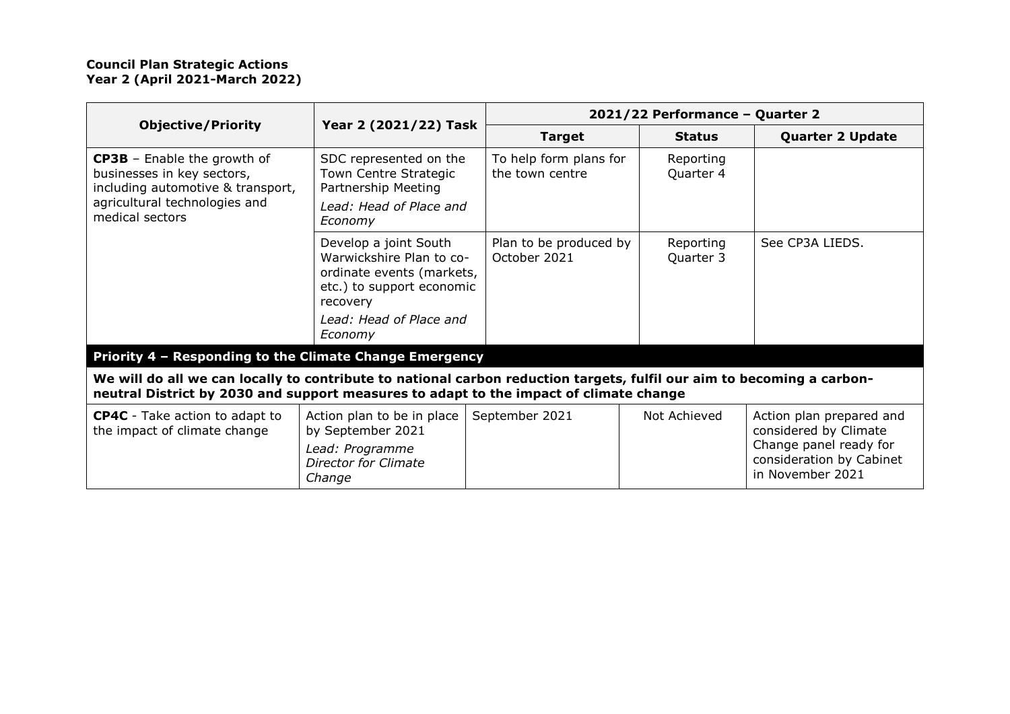|                                                                                                                                                           | Year 2 (2021/22) Task                                                                                                                                         | 2021/22 Performance - Quarter 2           |                        |                                                                                                                             |
|-----------------------------------------------------------------------------------------------------------------------------------------------------------|---------------------------------------------------------------------------------------------------------------------------------------------------------------|-------------------------------------------|------------------------|-----------------------------------------------------------------------------------------------------------------------------|
| <b>Objective/Priority</b>                                                                                                                                 |                                                                                                                                                               | <b>Target</b>                             | <b>Status</b>          | <b>Quarter 2 Update</b>                                                                                                     |
| <b>CP3B</b> – Enable the growth of<br>businesses in key sectors,<br>including automotive & transport,<br>agricultural technologies and<br>medical sectors | SDC represented on the<br>Town Centre Strategic<br>Partnership Meeting<br>Lead: Head of Place and<br>Economy                                                  | To help form plans for<br>the town centre | Reporting<br>Quarter 4 |                                                                                                                             |
| Priority 4 - Responding to the Climate Change Emergency                                                                                                   | Develop a joint South<br>Warwickshire Plan to co-<br>ordinate events (markets,<br>etc.) to support economic<br>recovery<br>Lead: Head of Place and<br>Economy | Plan to be produced by<br>October 2021    | Reporting<br>Quarter 3 | See CP3A LIEDS.                                                                                                             |
| We will do all we can locally to contribute to national carbon reduction targets, fulfil our aim to becoming a carbon-                                    |                                                                                                                                                               |                                           |                        |                                                                                                                             |
| neutral District by 2030 and support measures to adapt to the impact of climate change                                                                    |                                                                                                                                                               |                                           |                        |                                                                                                                             |
| <b>CP4C</b> - Take action to adapt to<br>the impact of climate change                                                                                     | Action plan to be in place<br>by September 2021<br>Lead: Programme<br>Director for Climate<br>Change                                                          | September 2021                            | Not Achieved           | Action plan prepared and<br>considered by Climate<br>Change panel ready for<br>consideration by Cabinet<br>in November 2021 |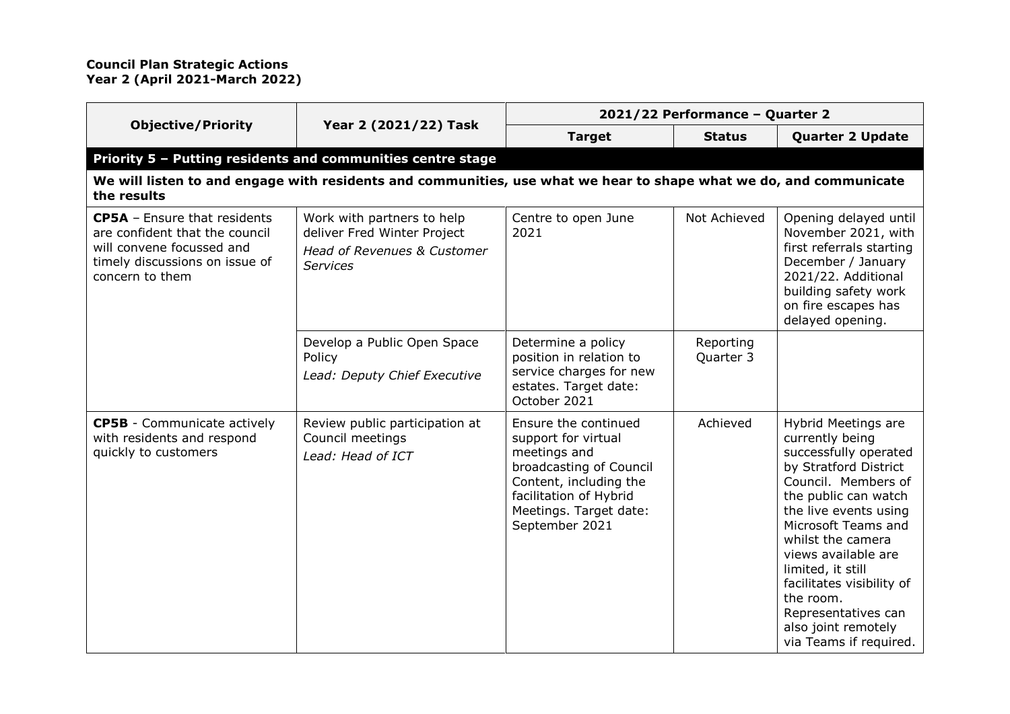|                                                                                                                                                         |                                                                                                                    | 2021/22 Performance - Quarter 2                                                                                                                                                        |                        |                                                                                                                                                                                                                                                                                                                                                                                   |
|---------------------------------------------------------------------------------------------------------------------------------------------------------|--------------------------------------------------------------------------------------------------------------------|----------------------------------------------------------------------------------------------------------------------------------------------------------------------------------------|------------------------|-----------------------------------------------------------------------------------------------------------------------------------------------------------------------------------------------------------------------------------------------------------------------------------------------------------------------------------------------------------------------------------|
| <b>Objective/Priority</b>                                                                                                                               | Year 2 (2021/22) Task                                                                                              | <b>Target</b>                                                                                                                                                                          | <b>Status</b>          | <b>Quarter 2 Update</b>                                                                                                                                                                                                                                                                                                                                                           |
|                                                                                                                                                         | Priority 5 - Putting residents and communities centre stage                                                        |                                                                                                                                                                                        |                        |                                                                                                                                                                                                                                                                                                                                                                                   |
| the results                                                                                                                                             | We will listen to and engage with residents and communities, use what we hear to shape what we do, and communicate |                                                                                                                                                                                        |                        |                                                                                                                                                                                                                                                                                                                                                                                   |
| <b>CP5A</b> - Ensure that residents<br>are confident that the council<br>will convene focussed and<br>timely discussions on issue of<br>concern to them | Work with partners to help<br>deliver Fred Winter Project<br>Head of Revenues & Customer<br><b>Services</b>        | Centre to open June<br>2021                                                                                                                                                            | Not Achieved           | Opening delayed until<br>November 2021, with<br>first referrals starting<br>December / January<br>2021/22. Additional<br>building safety work<br>on fire escapes has<br>delayed opening.                                                                                                                                                                                          |
|                                                                                                                                                         | Develop a Public Open Space<br>Policy<br>Lead: Deputy Chief Executive                                              | Determine a policy<br>position in relation to<br>service charges for new<br>estates. Target date:<br>October 2021                                                                      | Reporting<br>Quarter 3 |                                                                                                                                                                                                                                                                                                                                                                                   |
| <b>CP5B</b> - Communicate actively<br>with residents and respond<br>quickly to customers                                                                | Review public participation at<br>Council meetings<br>Lead: Head of ICT                                            | Ensure the continued<br>support for virtual<br>meetings and<br>broadcasting of Council<br>Content, including the<br>facilitation of Hybrid<br>Meetings. Target date:<br>September 2021 | Achieved               | <b>Hybrid Meetings are</b><br>currently being<br>successfully operated<br>by Stratford District<br>Council. Members of<br>the public can watch<br>the live events using<br>Microsoft Teams and<br>whilst the camera<br>views available are<br>limited, it still<br>facilitates visibility of<br>the room.<br>Representatives can<br>also joint remotely<br>via Teams if required. |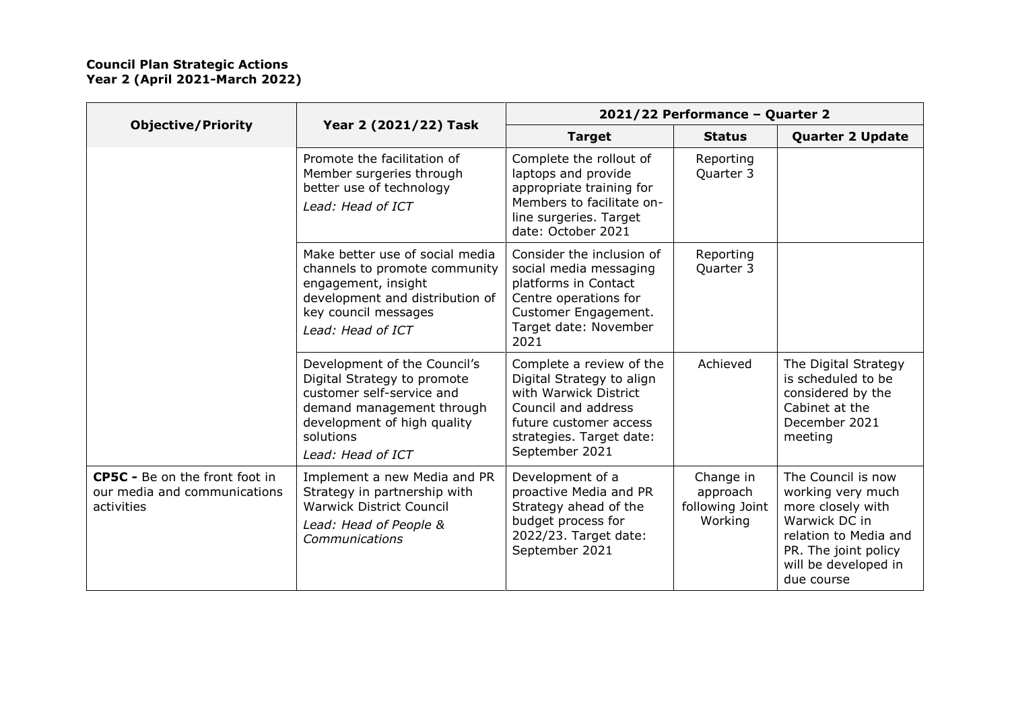|                                                                              |                                                                                                                                                                                        | 2021/22 Performance - Quarter 2                                                                                                                                               |                                                     |                                                                                                                                                                      |
|------------------------------------------------------------------------------|----------------------------------------------------------------------------------------------------------------------------------------------------------------------------------------|-------------------------------------------------------------------------------------------------------------------------------------------------------------------------------|-----------------------------------------------------|----------------------------------------------------------------------------------------------------------------------------------------------------------------------|
| <b>Objective/Priority</b>                                                    | Year 2 (2021/22) Task                                                                                                                                                                  | <b>Target</b>                                                                                                                                                                 | <b>Status</b>                                       | <b>Quarter 2 Update</b>                                                                                                                                              |
|                                                                              | Promote the facilitation of<br>Member surgeries through<br>better use of technology<br>Lead: Head of ICT                                                                               | Complete the rollout of<br>laptops and provide<br>appropriate training for<br>Members to facilitate on-<br>line surgeries. Target<br>date: October 2021                       | Reporting<br>Quarter 3                              |                                                                                                                                                                      |
|                                                                              | Make better use of social media<br>channels to promote community<br>engagement, insight<br>development and distribution of<br>key council messages<br>Lead: Head of ICT                | Consider the inclusion of<br>social media messaging<br>platforms in Contact<br>Centre operations for<br>Customer Engagement.<br>Target date: November<br>2021                 | Reporting<br>Quarter 3                              |                                                                                                                                                                      |
|                                                                              | Development of the Council's<br>Digital Strategy to promote<br>customer self-service and<br>demand management through<br>development of high quality<br>solutions<br>Lead: Head of ICT | Complete a review of the<br>Digital Strategy to align<br>with Warwick District<br>Council and address<br>future customer access<br>strategies. Target date:<br>September 2021 | Achieved                                            | The Digital Strategy<br>is scheduled to be<br>considered by the<br>Cabinet at the<br>December 2021<br>meeting                                                        |
| CP5C - Be on the front foot in<br>our media and communications<br>activities | Implement a new Media and PR<br>Strategy in partnership with<br><b>Warwick District Council</b><br>Lead: Head of People &<br>Communications                                            | Development of a<br>proactive Media and PR<br>Strategy ahead of the<br>budget process for<br>2022/23. Target date:<br>September 2021                                          | Change in<br>approach<br>following Joint<br>Working | The Council is now<br>working very much<br>more closely with<br>Warwick DC in<br>relation to Media and<br>PR. The joint policy<br>will be developed in<br>due course |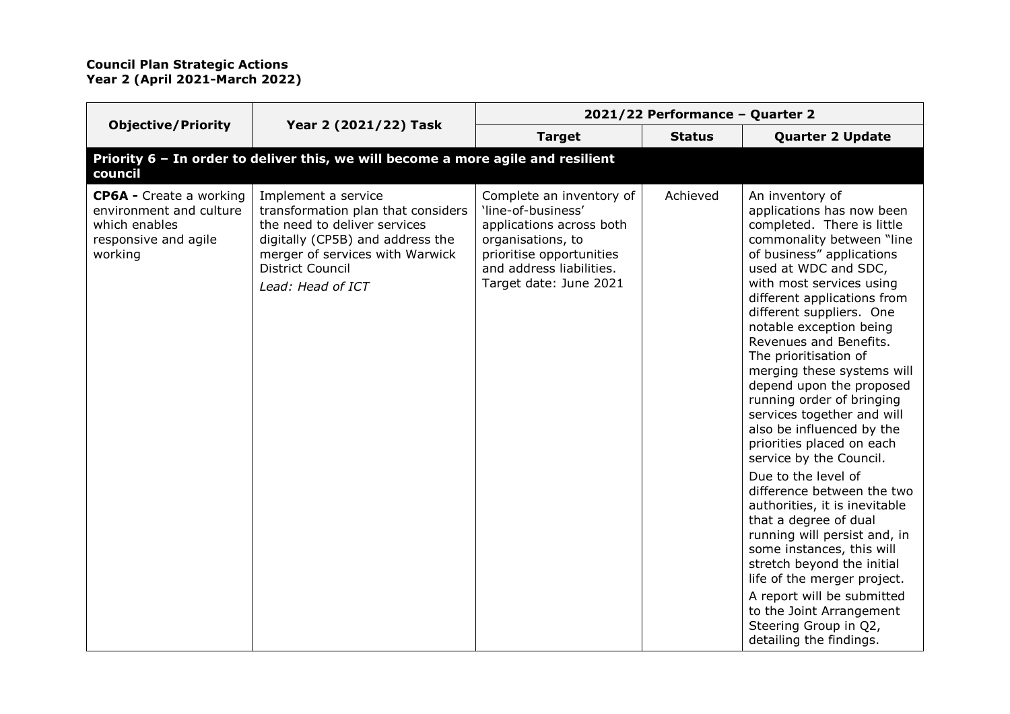|                                                                                                               |                                                                                                                                                                                                                  | 2021/22 Performance - Quarter 2                                                                                                                                                   |               |                                                                                                                                                                                                                                                                                                                                                                                                                                                                                                                                                                                                                                                                                                                                                                                                                                                                                                    |
|---------------------------------------------------------------------------------------------------------------|------------------------------------------------------------------------------------------------------------------------------------------------------------------------------------------------------------------|-----------------------------------------------------------------------------------------------------------------------------------------------------------------------------------|---------------|----------------------------------------------------------------------------------------------------------------------------------------------------------------------------------------------------------------------------------------------------------------------------------------------------------------------------------------------------------------------------------------------------------------------------------------------------------------------------------------------------------------------------------------------------------------------------------------------------------------------------------------------------------------------------------------------------------------------------------------------------------------------------------------------------------------------------------------------------------------------------------------------------|
| <b>Objective/Priority</b>                                                                                     | Year 2 (2021/22) Task                                                                                                                                                                                            | <b>Target</b>                                                                                                                                                                     | <b>Status</b> | <b>Quarter 2 Update</b>                                                                                                                                                                                                                                                                                                                                                                                                                                                                                                                                                                                                                                                                                                                                                                                                                                                                            |
| council                                                                                                       | Priority 6 - In order to deliver this, we will become a more agile and resilient                                                                                                                                 |                                                                                                                                                                                   |               |                                                                                                                                                                                                                                                                                                                                                                                                                                                                                                                                                                                                                                                                                                                                                                                                                                                                                                    |
| <b>CP6A - Create a working</b><br>environment and culture<br>which enables<br>responsive and agile<br>working | Implement a service<br>transformation plan that considers<br>the need to deliver services<br>digitally (CP5B) and address the<br>merger of services with Warwick<br><b>District Council</b><br>Lead: Head of ICT | Complete an inventory of<br>'line-of-business'<br>applications across both<br>organisations, to<br>prioritise opportunities<br>and address liabilities.<br>Target date: June 2021 | Achieved      | An inventory of<br>applications has now been<br>completed. There is little<br>commonality between "line<br>of business" applications<br>used at WDC and SDC,<br>with most services using<br>different applications from<br>different suppliers. One<br>notable exception being<br>Revenues and Benefits.<br>The prioritisation of<br>merging these systems will<br>depend upon the proposed<br>running order of bringing<br>services together and will<br>also be influenced by the<br>priorities placed on each<br>service by the Council.<br>Due to the level of<br>difference between the two<br>authorities, it is inevitable<br>that a degree of dual<br>running will persist and, in<br>some instances, this will<br>stretch beyond the initial<br>life of the merger project.<br>A report will be submitted<br>to the Joint Arrangement<br>Steering Group in Q2,<br>detailing the findings. |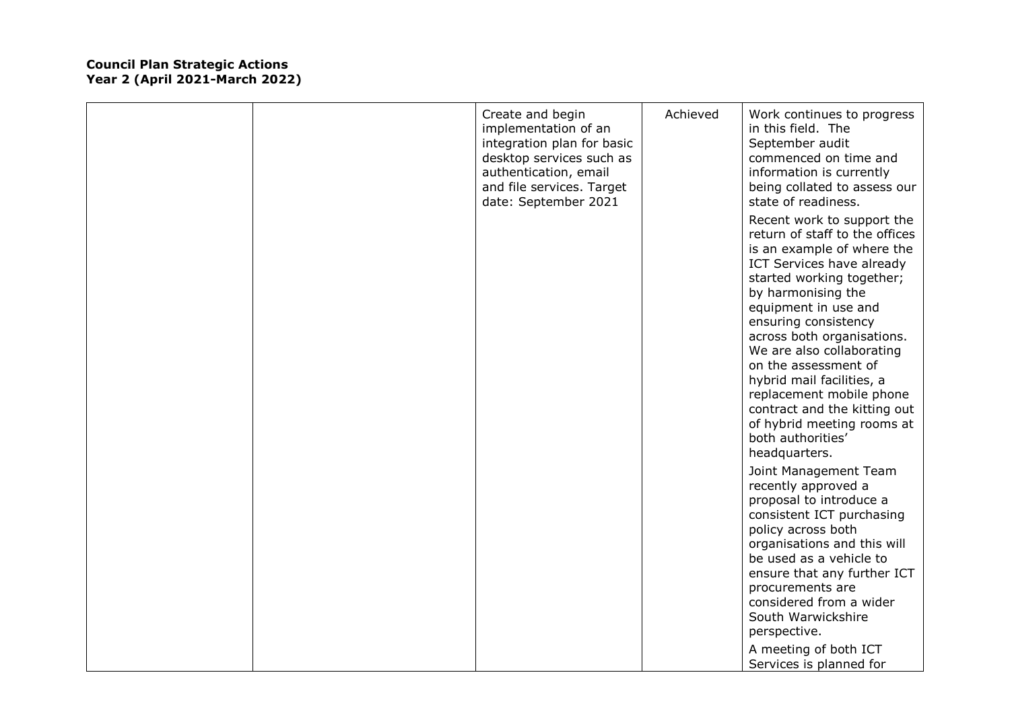|  | Create and begin<br>implementation of an<br>integration plan for basic<br>desktop services such as<br>authentication, email<br>and file services. Target<br>date: September 2021 | Achieved | Work continues to progress<br>in this field. The<br>September audit<br>commenced on time and<br>information is currently<br>being collated to assess our<br>state of readiness.                                                                                                                                                                                                                                                                                            |
|--|----------------------------------------------------------------------------------------------------------------------------------------------------------------------------------|----------|----------------------------------------------------------------------------------------------------------------------------------------------------------------------------------------------------------------------------------------------------------------------------------------------------------------------------------------------------------------------------------------------------------------------------------------------------------------------------|
|  |                                                                                                                                                                                  |          | Recent work to support the<br>return of staff to the offices<br>is an example of where the<br>ICT Services have already<br>started working together;<br>by harmonising the<br>equipment in use and<br>ensuring consistency<br>across both organisations.<br>We are also collaborating<br>on the assessment of<br>hybrid mail facilities, a<br>replacement mobile phone<br>contract and the kitting out<br>of hybrid meeting rooms at<br>both authorities'<br>headquarters. |
|  |                                                                                                                                                                                  |          | Joint Management Team<br>recently approved a<br>proposal to introduce a<br>consistent ICT purchasing<br>policy across both<br>organisations and this will<br>be used as a vehicle to<br>ensure that any further ICT<br>procurements are<br>considered from a wider<br>South Warwickshire<br>perspective.<br>A meeting of both ICT<br>Services is planned for                                                                                                               |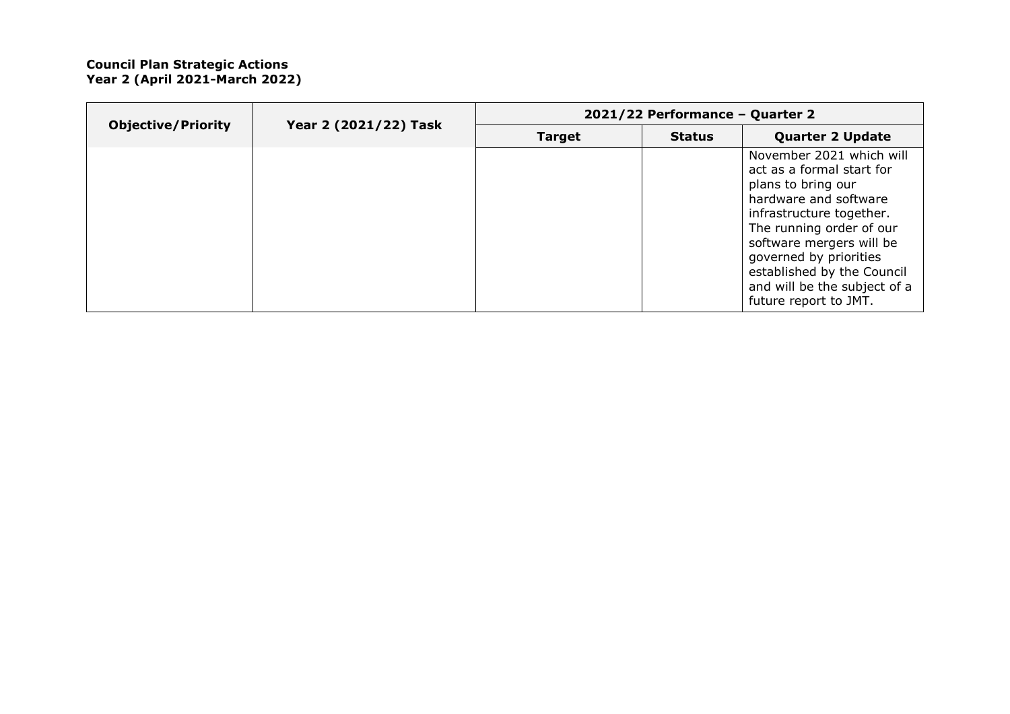|  | <b>Objective/Priority</b><br>Year 2 (2021/22) Task | 2021/22 Performance - Quarter 2 |               |                                                                                                                                                                                                                                                                                                           |  |
|--|----------------------------------------------------|---------------------------------|---------------|-----------------------------------------------------------------------------------------------------------------------------------------------------------------------------------------------------------------------------------------------------------------------------------------------------------|--|
|  |                                                    | <b>Target</b>                   | <b>Status</b> | <b>Quarter 2 Update</b>                                                                                                                                                                                                                                                                                   |  |
|  |                                                    |                                 |               | November 2021 which will<br>act as a formal start for<br>plans to bring our<br>hardware and software<br>infrastructure together.<br>The running order of our<br>software mergers will be<br>governed by priorities<br>established by the Council<br>and will be the subject of a<br>future report to JMT. |  |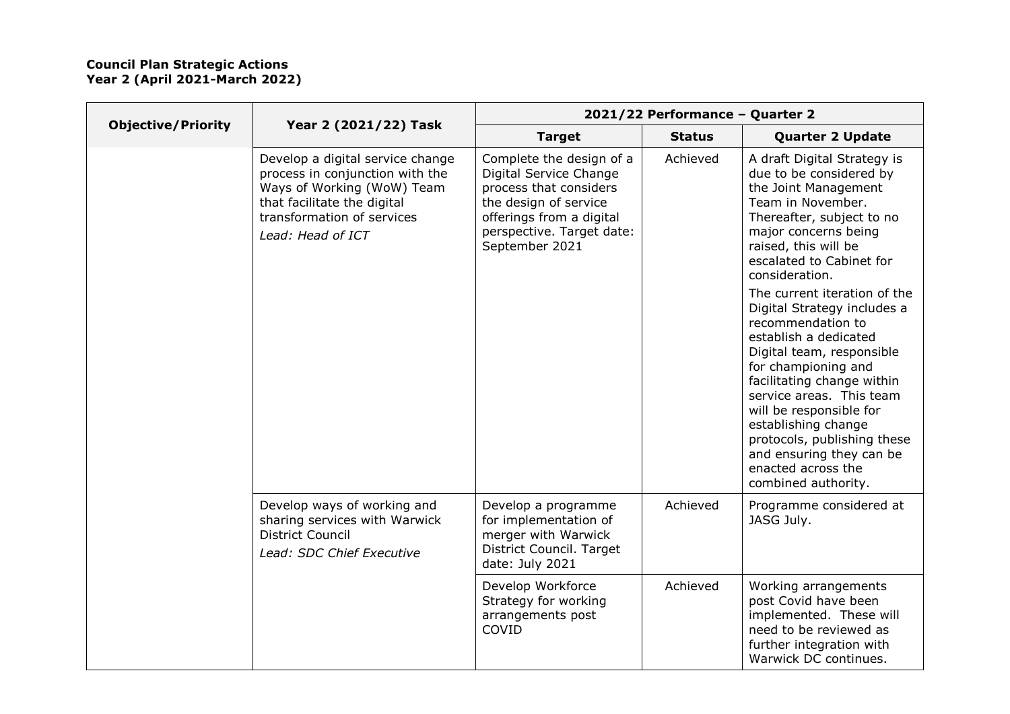|                           |                                                                                                                                                                                     | 2021/22 Performance - Quarter 2                                                                                                                                                  |               |                                                                                                                                                                                                                                                                                                                                                                                   |  |
|---------------------------|-------------------------------------------------------------------------------------------------------------------------------------------------------------------------------------|----------------------------------------------------------------------------------------------------------------------------------------------------------------------------------|---------------|-----------------------------------------------------------------------------------------------------------------------------------------------------------------------------------------------------------------------------------------------------------------------------------------------------------------------------------------------------------------------------------|--|
| <b>Objective/Priority</b> | Year 2 (2021/22) Task                                                                                                                                                               | <b>Target</b>                                                                                                                                                                    | <b>Status</b> | <b>Quarter 2 Update</b>                                                                                                                                                                                                                                                                                                                                                           |  |
|                           | Develop a digital service change<br>process in conjunction with the<br>Ways of Working (WoW) Team<br>that facilitate the digital<br>transformation of services<br>Lead: Head of ICT | Complete the design of a<br>Digital Service Change<br>process that considers<br>the design of service<br>offerings from a digital<br>perspective. Target date:<br>September 2021 | Achieved      | A draft Digital Strategy is<br>due to be considered by<br>the Joint Management<br>Team in November.<br>Thereafter, subject to no<br>major concerns being<br>raised, this will be<br>escalated to Cabinet for<br>consideration.                                                                                                                                                    |  |
|                           |                                                                                                                                                                                     |                                                                                                                                                                                  |               | The current iteration of the<br>Digital Strategy includes a<br>recommendation to<br>establish a dedicated<br>Digital team, responsible<br>for championing and<br>facilitating change within<br>service areas. This team<br>will be responsible for<br>establishing change<br>protocols, publishing these<br>and ensuring they can be<br>enacted across the<br>combined authority. |  |
|                           | Develop ways of working and<br>sharing services with Warwick<br><b>District Council</b><br>Lead: SDC Chief Executive                                                                | Develop a programme<br>for implementation of<br>merger with Warwick<br>District Council. Target<br>date: July 2021                                                               | Achieved      | Programme considered at<br>JASG July.                                                                                                                                                                                                                                                                                                                                             |  |
|                           |                                                                                                                                                                                     | Develop Workforce<br>Strategy for working<br>arrangements post<br>COVID                                                                                                          | Achieved      | Working arrangements<br>post Covid have been<br>implemented. These will<br>need to be reviewed as<br>further integration with<br>Warwick DC continues.                                                                                                                                                                                                                            |  |